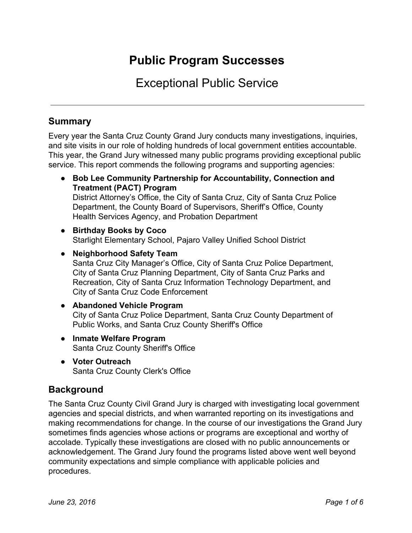# **Public Program Successes**

# Exceptional Public Service

# **Summary**

Every year the Santa Cruz County Grand Jury conducts many investigations, inquiries, and site visits in our role of holding hundreds of local government entities accountable. This year, the Grand Jury witnessed many public programs providing exceptional public service. This report commends the following programs and supporting agencies:

- **● Bob Lee Community Partnership for Accountability, Connection and Treatment (PACT) Program** District Attorney's Office, the City of Santa Cruz, City of Santa Cruz Police Department, the County Board of Supervisors, Sheriff's Office, County Health Services Agency, and Probation Department
- **● Birthday Books by Coco** Starlight Elementary School, Pajaro Valley Unified School District
- **● Neighborhood Safety Team** Santa Cruz City Manager's Office, City of Santa Cruz Police Department, City of Santa Cruz Planning Department, City of Santa Cruz Parks and Recreation, City of Santa Cruz Information Technology Department, and City of Santa Cruz Code Enforcement
- **● Abandoned Vehicle Program** City of Santa Cruz Police Department, Santa Cruz County Department of Public Works, and Santa Cruz County Sheriff's Office
- **● Inmate Welfare Program** Santa Cruz County Sheriff's Office
- **● Voter Outreach** Santa Cruz County Clerk's Office

## **Background**

The Santa Cruz County Civil Grand Jury is charged with investigating local government agencies and special districts, and when warranted reporting on its investigations and making recommendations for change. In the course of our investigations the Grand Jury sometimes finds agencies whose actions or programs are exceptional and worthy of accolade. Typically these investigations are closed with no public announcements or acknowledgement. The Grand Jury found the programs listed above went well beyond community expectations and simple compliance with applicable policies and procedures.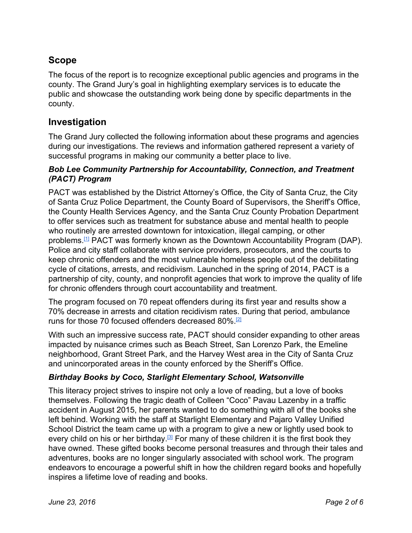# **Scope**

The focus of the report is to recognize exceptional public agencies and programs in the county. The Grand Jury's goal in highlighting exemplary services is to educate the public and showcase the outstanding work being done by specific departments in the county.

## **Investigation**

The Grand Jury collected the following information about these programs and agencies during our investigations. The reviews and information gathered represent a variety of successful programs in making our community a better place to live.

#### *Bob Lee Community Partnership for Accountability, Connection, and Treatment (PACT) Program*

PACT was established by the District Attorney's Office, the City of Santa Cruz, the City of Santa Cruz Police Department, the County Board of Supervisors, the Sheriff's Office, the County Health Services Agency, and the Santa Cruz County Probation Department to offer services such as treatment for substance abuse and mental health to people who routinely are arrested downtown for intoxication, illegal camping, or other problems.<sup>[\[1\]](http://sccounty01.co.santa-cruz.ca.us/BDS/Govstream2/Bdsvdata/non_legacy_2.0/agendas/2015/20150210-649/PDF/020-1.pdf)</sup> PACT was formerly known as the Downtown Accountability Program (DAP). Police and city staff collaborate with service providers, prosecutors, and the courts to keep chronic offenders and the most vulnerable homeless people out of the debilitating cycle of citations, arrests, and recidivism. Launched in the spring of 2014, PACT is a partnership of city, county, and nonprofit agencies that work to improve the quality of life for chronic offenders through court accountability and treatment.

The program focused on 70 repeat offenders during its first year and results show a 70% decrease in arrests and citation recidivism rates. During that period, ambulance runs for those 70 focused offenders decreased 80%.<sup>[\[2\]](http://www.cityofsantacruz.com/Home/Components/News/News/1885/)</sup>

With such an impressive success rate, PACT should consider expanding to other areas impacted by nuisance crimes such as Beach Street, San Lorenzo Park, the Emeline neighborhood, Grant Street Park, and the Harvey West area in the City of Santa Cruz and unincorporated areas in the county enforced by the Sheriff's Office.

### *Birthday Books by Coco, Starlight Elementary School, Watsonville*

This literacy project strives to inspire not only a love of reading, but a love of books themselves. Following the tragic death of Colleen "Coco" Pavau Lazenby in a traffic accident in August 2015, her parents wanted to do something with all of the books she left behind. Working with the staff at Starlight Elementary and Pajaro Valley Unified School District the team came up with a program to give a new or lightly used book to every child on his or her birthday.<sup>[\[3\]](http://www.register-pajaronian.com/v2_news_articles.php?heading=0&story_id=19639&page=72)</sup> For many of these children it is the first book they have owned. These gifted books become personal treasures and through their tales and adventures, books are no longer singularly associated with school work. The program endeavors to encourage a powerful shift in how the children regard books and hopefully inspires a lifetime love of reading and books.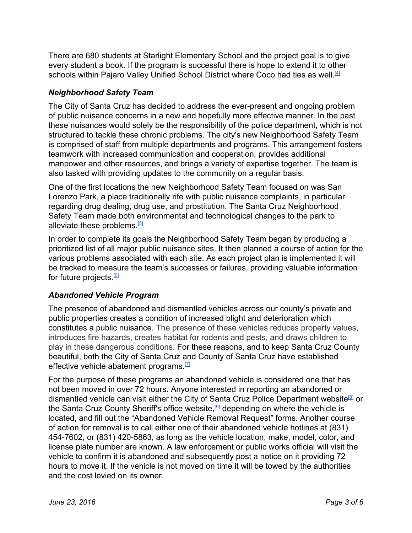There are 680 students at Starlight Elementary School and the project goal is to give every student a book. If the program is successful there is hope to extend it to other schools within Pajaro Valley Unified School District where Coco had ties as well.<sup>[\[4\]](http://www.santacruzsentinel.com/article/NE/20150911/NEWS/150919914)</sup>

#### *Neighborhood Safety Team*

The City of Santa Cruz has decided to address the ever-present and ongoing problem of public nuisance concerns in a new and hopefully more effective manner. In the past these nuisances would solely be the responsibility of the police department, which is not structured to tackle these chronic problems. The city's new Neighborhood Safety Team is comprised of staff from multiple departments and programs. This arrangement fosters teamwork with increased communication and cooperation, provides additional manpower and other resources, and brings a variety of expertise together. The team is also tasked with providing updates to the community on a regular basis.

One of the first locations the new Neighborhood Safety Team focused on was San Lorenzo Park, a place traditionally rife with public nuisance complaints, in particular regarding drug dealing, drug use, and prostitution. The Santa Cruz Neighborhood Safety Team made both environmental and technological changes to the park to alleviate these problems.<sup>[\[5\]](http://www.santacruzsentinel.com/article/NE/20160321/NEWS/160329938)</sup>

In order to complete its goals the Neighborhood Safety Team began by producing a prioritized list of all major public nuisance sites. It then planned a course of action for the various problems associated with each site. As each project plan is implemented it will be tracked to measure the team's successes or failures, providing valuable information for future projects <u><sup>61</sup></u>

#### *Abandoned Vehicle Program*

The presence of abandoned and dismantled vehicles across our county's private and public properties creates a condition of increased blight and deterioration which constitutes a public nuisance. The presence of these vehicles reduces property values, introduces fire hazards, creates habitat for rodents and pests, and draws children to play in these dangerous conditions. For these reasons, and to keep Santa Cruz County beautiful, both the City of Santa Cruz and County of Santa Cruz have established effective vehicle abatement programs.<sup>[\[7\]](http://www.codepublishing.com/CA/SantaCruzCounty/html/SantaCruzCounty09/SantaCruzCounty0956.html)</sup>

For the purpose of these programs an abandoned vehicle is considered one that has not been moved in over 72 hours. Anyone interested in reporting an abandoned or dismantled vehicle can visit either the City of Santa Cruz Police Department website<sup>®</sup> or the Santa Cruz County Sheriff's office website,<sup>[\[9\]](http://www.scsheriff.com/Home/AbandonedVehicles.aspx)</sup> depending on where the vehicle is located, and fill out the "Abandoned Vehicle Removal Request" forms. Another course of action for removal is to call either one of their abandoned vehicle hotlines at (831) 454-7602, or (831) 420-5863, as long as the vehicle location, make, model, color, and license plate number are known. A law enforcement or public works official will visit the vehicle to confirm it is abandoned and subsequently post a notice on it providing 72 hours to move it. If the vehicle is not moved on time it will be towed by the authorities and the cost levied on its owner.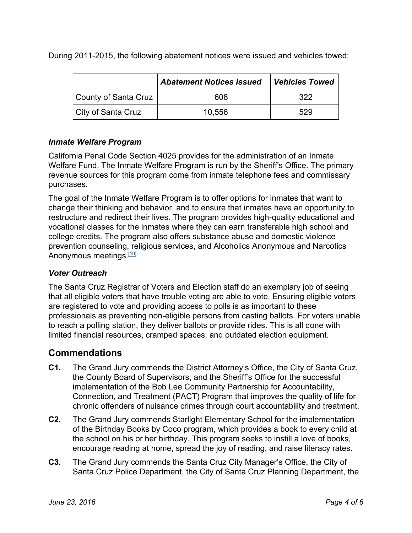During 2011-2015, the following abatement notices were issued and vehicles towed:

|                      | <b>Abatement Notices Issued</b> | <b>Vehicles Towed</b> |
|----------------------|---------------------------------|-----------------------|
| County of Santa Cruz | 608                             | 322                   |
| City of Santa Cruz   | 10,556                          | 529                   |

#### *Inmate Welfare Program*

California Penal Code Section 4025 provides for the administration of an Inmate Welfare Fund. The Inmate Welfare Program is run by the Sheriff's Office. The primary revenue sources for this program come from inmate telephone fees and commissary purchases.

The goal of the Inmate Welfare Program is to offer options for inmates that want to change their thinking and behavior, and to ensure that inmates have an opportunity to restructure and redirect their lives. The program provides high-quality educational and vocational classes for the inmates where they can earn transferable high school and college credits. The program also offers substance abuse and domestic violence prevention counseling, religious services, and Alcoholics Anonymous and Narcotics Anonymous meetings.<sup>[\[10\]](http://sccounty01.co.santa-cruz.ca.us/BDS/Govstream2/Bdsvdata/non_legacy_2.0/agendas/2015/20150519-658/PDF/025.pdf)</sup>

#### *Voter Outreach*

The Santa Cruz Registrar of Voters and Election staff do an exemplary job of seeing that all eligible voters that have trouble voting are able to vote. Ensuring eligible voters are registered to vote and providing access to polls is as important to these professionals as preventing non-eligible persons from casting ballots. For voters unable to reach a polling station, they deliver ballots or provide rides. This is all done with limited financial resources, cramped spaces, and outdated election equipment.

## **Commendations**

- **C1.** The Grand Jury commends the District Attorney's Office, the City of Santa Cruz, the County Board of Supervisors, and the Sheriff's Office for the successful implementation of the Bob Lee Community Partnership for Accountability, Connection, and Treatment (PACT) Program that improves the quality of life for chronic offenders of nuisance crimes through court accountability and treatment.
- **C2.** The Grand Jury commends Starlight Elementary School for the implementation of the Birthday Books by Coco program, which provides a book to every child at the school on his or her birthday. This program seeks to instill a love of books, encourage reading at home, spread the joy of reading, and raise literacy rates.
- **C3.** The Grand Jury commends the Santa Cruz City Manager's Office, the City of Santa Cruz Police Department, the City of Santa Cruz Planning Department, the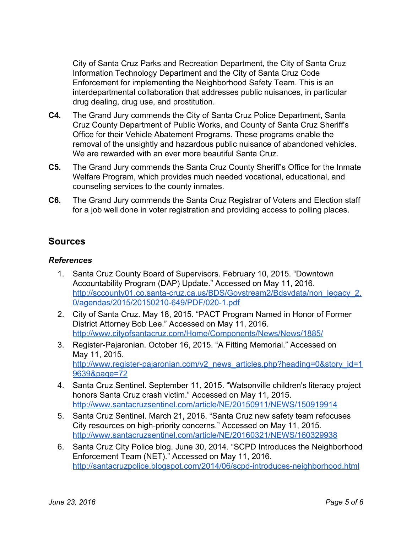City of Santa Cruz Parks and Recreation Department, the City of Santa Cruz Information Technology Department and the City of Santa Cruz Code Enforcement for implementing the Neighborhood Safety Team. This is an interdepartmental collaboration that addresses public nuisances, in particular drug dealing, drug use, and prostitution.

- **C4.** The Grand Jury commends the City of Santa Cruz Police Department, Santa Cruz County Department of Public Works, and County of Santa Cruz Sheriff's Office for their Vehicle Abatement Programs. These programs enable the removal of the unsightly and hazardous public nuisance of abandoned vehicles. We are rewarded with an ever more beautiful Santa Cruz.
- **C5.** The Grand Jury commends the Santa Cruz County Sheriff's Office for the Inmate Welfare Program, which provides much needed vocational, educational, and counseling services to the county inmates.
- **C6.** The Grand Jury commends the Santa Cruz Registrar of Voters and Election staff for a job well done in voter registration and providing access to polling places.

## **Sources**

### *References*

- 1. Santa Cruz County Board of Supervisors. February 10, 2015. "Downtown Accountability Program (DAP) Update." Accessed on May 11, 2016. http://sccounty01.co.santa-cruz.ca.us/BDS/Govstream2/Bdsvdata/non\_legacy\_2. 0/agendas/2015/20150210-649/PDF/020-1.pdf
- 2. City of Santa Cruz. May 18, 2015. "PACT Program Named in Honor of Former District Attorney Bob Lee." Accessed on May 11, 2016. <http://www.cityofsantacruz.com/Home/Components/News/News/1885/>
- 3. Register-Pajaronian. October 16, 2015. "A Fitting Memorial." Accessed on May 11, 2015. http://www.register-pajaronian.com/v2\_news\_articles.php?heading=0&story\_id=1 [9639&page=72](http://www.register-pajaronian.com/v2_news_articles.php?heading=0&story_id=19639&page=72)
- 4. Santa Cruz Sentinel. September 11, 2015. "Watsonville children's literacy project honors Santa Cruz crash victim." Accessed on May 11, 2015. <http://www.santacruzsentinel.com/article/NE/20150911/NEWS/150919914>
- 5. Santa Cruz Sentinel. March 21, 2016. "Santa Cruz new safety team refocuses City resources on high-priority concerns." Accessed on May 11, 2015. <http://www.santacruzsentinel.com/article/NE/20160321/NEWS/160329938>
- 6. Santa Cruz City Police blog. June 30, 2014. "SCPD Introduces the Neighborhood Enforcement Team (NET)." Accessed on May 11, 2016. http://santacruzpolice.blogspot.com/2014/06/scpd-introduces-neighborhood.html